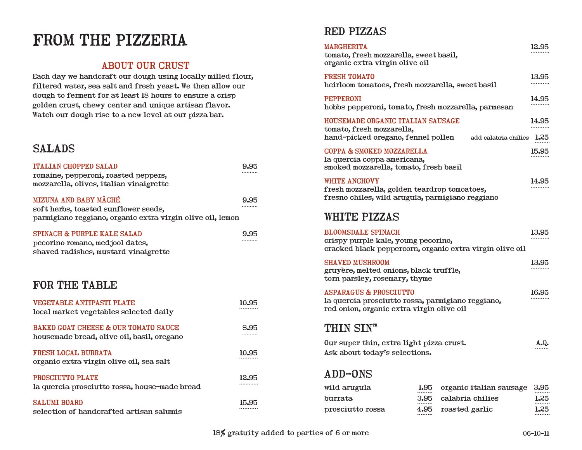# FROM THE PIZZERIA RED PIZZAS

### ABOUT OUR CRUST

Each day we handcraft our dough using locally milled flour, filtered water, sea salt and fresh yeast. We then allow our dough to ferment for at least 18 hours to ensure a crisp golden crust, chewy center and unique artisan flavor. Watch our dough rise to a new level at our pizza bar.

### SALADS

| <b>ITALIAN CHOPPED SALAD</b><br>romaine, pepperoni, roasted peppers,<br>mozzarella, olives, italian vinaigrette             | 9.95  |
|-----------------------------------------------------------------------------------------------------------------------------|-------|
| MIZUNA AND BABY MÂCHÉ<br>soft herbs, toasted sunflower seeds,<br>parmigiano reggiano, organic extra virgin olive oil, lemon | 9.95  |
| <b>SPINACH &amp; PURPLE KALE SALAD</b><br>pecorino romano, medjool dates,<br>shaved radishes, mustard vinaigrette           | 9.95  |
| FOR THE TABLE                                                                                                               |       |
| VEGETABLE ANTIPASTI PLATE<br>local market vegetables selected daily                                                         | 10.95 |
| <b>BAKED GOAT CHEESE &amp; OUR TOMATO SAUCE</b><br>housemade bread, olive oil, basil, oregano                               | 8.95  |
| FRESH LOCAL BURRATA<br>organic extra virgin olive oil, sea salt                                                             | 10.95 |
| PROSCIUTTO PLATE<br>la quercia prosciutto rossa, house-made bread                                                           | 12.95 |
| <b>SALUMI BOARD</b><br>selection of handcrafted artisan salumis                                                             | 15.95 |

| MARGHERITA<br>tomato, fresh mozzarella, sweet basil,<br>organic extra virgin olive oil                                              |              |                                             | 12.95        |
|-------------------------------------------------------------------------------------------------------------------------------------|--------------|---------------------------------------------|--------------|
| <b>FRESH TOMATO</b><br>heirloom tomatoes, fresh mozzarella, sweet basil                                                             |              |                                             | 13.95        |
| <b>PEPPERONI</b><br>hobbs pepperoni, tomato, fresh mozzarella, parmesan                                                             |              |                                             | 14.95        |
| HOUSEMADE ORGANIC ITALIAN SAUSAGE<br>tomato, fresh mozzarella,<br>hand-picked oregano, fennel pollen                                |              | add calabria chilies 1.25                   | 14.95        |
| COPPA & SMOKED MOZZARELLA<br>la quercia coppa americana,<br>smoked mozzarella, tomato, fresh basil                                  |              |                                             | 15.95        |
| <b>WHITE ANCHOVY</b><br>fresh mozzarella, golden teardrop tomoatoes,<br>fresno chiles, wild arugula, parmigiano reggiano            |              |                                             | 14.95        |
| <b>WHITE PIZZAS</b>                                                                                                                 |              |                                             |              |
| <b>BLOOMSDALE SPINACH</b><br>crispy purple kale, young pecorino,<br>cracked black peppercorn, organic extra virgin olive oil        |              |                                             | 13.95        |
| <b>SHAVED MUSHROOM</b><br>gruyère, melted onions, black truffle,<br>torn parsley, rosemary, thyme                                   |              |                                             | 13.95        |
| <b>ASPARAGUS &amp; PROSCIUTTO</b><br>la quercia prosciutto rossa, parmigiano reggiano,<br>red onion, organic extra virgin olive oil |              |                                             | 16.95        |
| <b>THIN SINTM</b>                                                                                                                   |              |                                             |              |
| Our super thin, extra light pizza crust.<br>Ask about today's selections.                                                           |              |                                             | A. Q.        |
| <b>ADD-ONS</b>                                                                                                                      |              |                                             |              |
| wild arugula<br>burrata                                                                                                             | 1.95<br>3.95 | organic italian sausage<br>calabria chilies | 3.95<br>1.25 |

prosciutto rossa 4.95

roasted garlic 1.25